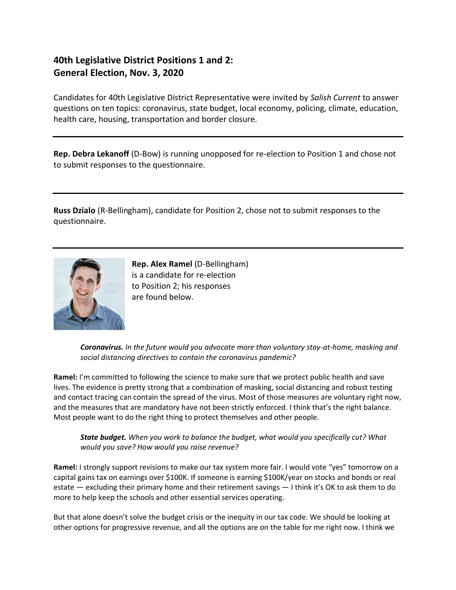# **40th Legislative District Positions 1 and 2: General Election, Nov. 3, 2020**

Candidates for 40th Legislative District Representative were invited by *Salish Current* to answer questions on ten topics: coronavirus, state budget, local economy, policing, climate, education, health care, housing, transportation and border closure.

**Rep. Debra Lekanoff** (D-Bow) is running unopposed for re-election to Position 1 and chose not to submit responses to the questionnaire.

**Russ Dzialo** (R-Bellingham), candidate for Position 2, chose not to submit responses to the questionnaire.



**Rep. Alex Ramel** (D-Bellingham) is a candidate for re-election to Position 2; his responses are found below.

*Coronavirus. In the future would you advocate more than voluntary stay-at-home, masking and social distancing directives to contain the coronavirus pandemic?*

**Ramel:** I'm committed to following the science to make sure that we protect public health and save lives. The evidence is pretty strong that a combination of masking, social distancing and robust testing and contact tracing can contain the spread of the virus. Most of those measures are voluntary right now, and the measures that are mandatory have not been strictly enforced. I think that's the right balance. Most people want to do the right thing to protect themselves and other people.

*State budget. When you work to balance the budget, what would you specifically cut? What would you save? How would you raise revenue?*

**Ramel:** I strongly support revisions to make our tax system more fair. I would vote "yes" tomorrow on a capital gains tax on earnings over \$100K. If someone is earning \$100K/year on stocks and bonds or real estate — excluding their primary home and their retirement savings — I think it's OK to ask them to do more to help keep the schools and other essential services operating.

But that alone doesn't solve the budget crisis or the inequity in our tax code. We should be looking at other options for progressive revenue, and all the options are on the table for me right now. I think we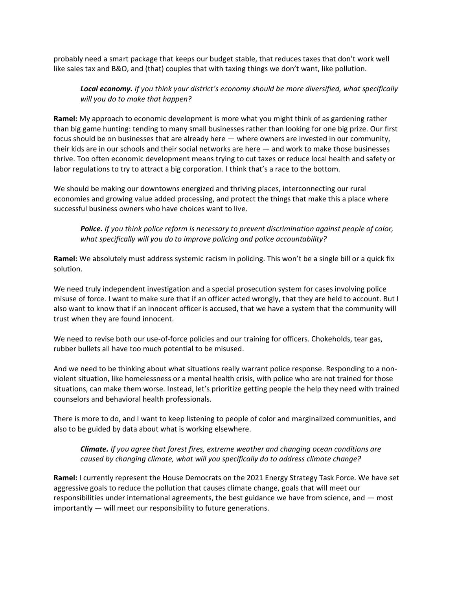probably need a smart package that keeps our budget stable, that reduces taxes that don't work well like sales tax and B&O, and (that) couples that with taxing things we don't want, like pollution.

## *Local economy. If you think your district's economy should be more diversified, what specifically will you do to make that happen?*

**Ramel:** My approach to economic development is more what you might think of as gardening rather than big game hunting: tending to many small businesses rather than looking for one big prize. Our first focus should be on businesses that are already here — where owners are invested in our community, their kids are in our schools and their social networks are here — and work to make those businesses thrive. Too often economic development means trying to cut taxes or reduce local health and safety or labor regulations to try to attract a big corporation. I think that's a race to the bottom.

We should be making our downtowns energized and thriving places, interconnecting our rural economies and growing value added processing, and protect the things that make this a place where successful business owners who have choices want to live.

*Police. If you think police reform is necessary to prevent discrimination against people of color, what specifically will you do to improve policing and police accountability?*

**Ramel:** We absolutely must address systemic racism in policing. This won't be a single bill or a quick fix solution.

We need truly independent investigation and a special prosecution system for cases involving police misuse of force. I want to make sure that if an officer acted wrongly, that they are held to account. But I also want to know that if an innocent officer is accused, that we have a system that the community will trust when they are found innocent.

We need to revise both our use-of-force policies and our training for officers. Chokeholds, tear gas, rubber bullets all have too much potential to be misused.

And we need to be thinking about what situations really warrant police response. Responding to a nonviolent situation, like homelessness or a mental health crisis, with police who are not trained for those situations, can make them worse. Instead, let's prioritize getting people the help they need with trained counselors and behavioral health professionals.

There is more to do, and I want to keep listening to people of color and marginalized communities, and also to be guided by data about what is working elsewhere.

### *Climate. If you agree that forest fires, extreme weather and changing ocean conditions are caused by changing climate, what will you specifically do to address climate change?*

**Ramel:** I currently represent the House Democrats on the 2021 Energy Strategy Task Force. We have set aggressive goals to reduce the pollution that causes climate change, goals that will meet our responsibilities under international agreements, the best guidance we have from science, and — most importantly — will meet our responsibility to future generations.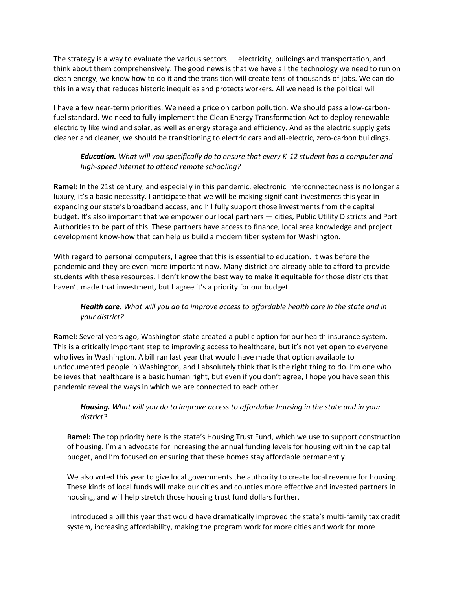The strategy is a way to evaluate the various sectors — electricity, buildings and transportation, and think about them comprehensively. The good news is that we have all the technology we need to run on clean energy, we know how to do it and the transition will create tens of thousands of jobs. We can do this in a way that reduces historic inequities and protects workers. All we need is the political will

I have a few near-term priorities. We need a price on carbon pollution. We should pass a low-carbonfuel standard. We need to fully implement the Clean Energy Transformation Act to deploy renewable electricity like wind and solar, as well as energy storage and efficiency. And as the electric supply gets cleaner and cleaner, we should be transitioning to electric cars and all-electric, zero-carbon buildings.

## *Education. What will you specifically do to ensure that every K-12 student has a computer and high-speed internet to attend remote schooling?*

**Ramel:** In the 21st century, and especially in this pandemic, electronic interconnectedness is no longer a luxury, it's a basic necessity. I anticipate that we will be making significant investments this year in expanding our state's broadband access, and I'll fully support those investments from the capital budget. It's also important that we empower our local partners — cities, Public Utility Districts and Port Authorities to be part of this. These partners have access to finance, local area knowledge and project development know-how that can help us build a modern fiber system for Washington.

With regard to personal computers, I agree that this is essential to education. It was before the pandemic and they are even more important now. Many district are already able to afford to provide students with these resources. I don't know the best way to make it equitable for those districts that haven't made that investment, but I agree it's a priority for our budget.

### *Health care. What will you do to improve access to affordable health care in the state and in your district?*

**Ramel:** Several years ago, Washington state created a public option for our health insurance system. This is a critically important step to improving access to healthcare, but it's not yet open to everyone who lives in Washington. A bill ran last year that would have made that option available to undocumented people in Washington, and I absolutely think that is the right thing to do. I'm one who believes that healthcare is a basic human right, but even if you don't agree, I hope you have seen this pandemic reveal the ways in which we are connected to each other.

### *Housing. What will you do to improve access to affordable housing in the state and in your district?*

**Ramel:** The top priority here is the state's Housing Trust Fund, which we use to support construction of housing. I'm an advocate for increasing the annual funding levels for housing within the capital budget, and I'm focused on ensuring that these homes stay affordable permanently.

We also voted this year to give local governments the authority to create local revenue for housing. These kinds of local funds will make our cities and counties more effective and invested partners in housing, and will help stretch those housing trust fund dollars further.

I introduced a bill this year that would have dramatically improved the state's multi-family tax credit system, increasing affordability, making the program work for more cities and work for more